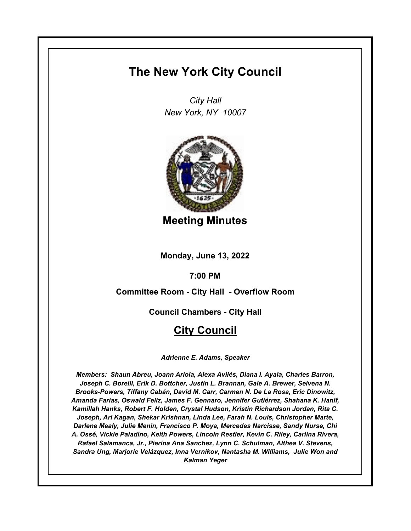# **The New York City Council**

*City Hall New York, NY 10007*



**Meeting Minutes**

**Monday, June 13, 2022**

**7:00 PM**

**Committee Room - City Hall - Overflow Room**

**Council Chambers - City Hall**

# **City Council**

*Adrienne E. Adams, Speaker*

*Members: Shaun Abreu, Joann Ariola, Alexa Avilés, Diana I. Ayala, Charles Barron, Joseph C. Borelli, Erik D. Bottcher, Justin L. Brannan, Gale A. Brewer, Selvena N. Brooks-Powers, Tiffany Cabán, David M. Carr, Carmen N. De La Rosa, Eric Dinowitz, Amanda Farias, Oswald Feliz, James F. Gennaro, Jennifer Gutiérrez, Shahana K. Hanif, Kamillah Hanks, Robert F. Holden, Crystal Hudson, Kristin Richardson Jordan, Rita C. Joseph, Ari Kagan, Shekar Krishnan, Linda Lee, Farah N. Louis, Christopher Marte, Darlene Mealy, Julie Menin, Francisco P. Moya, Mercedes Narcisse, Sandy Nurse, Chi A. Ossé, Vickie Paladino, Keith Powers, Lincoln Restler, Kevin C. Riley, Carlina Rivera, Rafael Salamanca, Jr., Pierina Ana Sanchez, Lynn C. Schulman, Althea V. Stevens, Sandra Ung, Marjorie Velázquez, Inna Vernikov, Nantasha M. Williams, Julie Won and Kalman Yeger*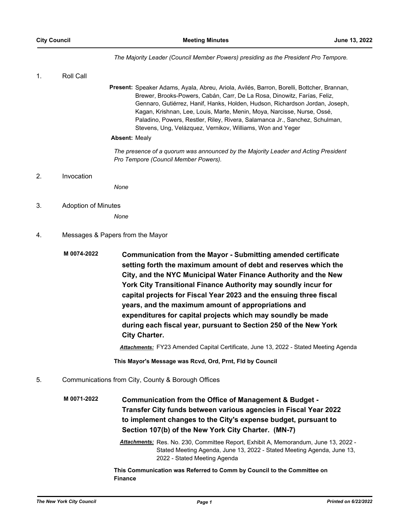*The Majority Leader (Council Member Powers) presiding as the President Pro Tempore.*

1. Roll Call

Present: Speaker Adams, Ayala, Abreu, Ariola, Avilés, Barron, Borelli, Bottcher, Brannan, Brewer, Brooks-Powers, Cabán, Carr, De La Rosa, Dinowitz, Farías, Feliz, Gennaro, Gutiérrez, Hanif, Hanks, Holden, Hudson, Richardson Jordan, Joseph, Kagan, Krishnan, Lee, Louis, Marte, Menin, Moya, Narcisse, Nurse, Ossé, Paladino, Powers, Restler, Riley, Rivera, Salamanca Jr., Sanchez, Schulman, Stevens, Ung, Velázquez, Vernikov, Williams, Won and Yeger

#### **Absent:** Mealy

*The presence of a quorum was announced by the Majority Leader and Acting President Pro Tempore (Council Member Powers).*

#### 2. Invocation

*None*

3. Adoption of Minutes

*None*

- 4. Messages & Papers from the Mayor
	- **Communication from the Mayor Submitting amended certificate setting forth the maximum amount of debt and reserves which the City, and the NYC Municipal Water Finance Authority and the New York City Transitional Finance Authority may soundly incur for capital projects for Fiscal Year 2023 and the ensuing three fiscal years, and the maximum amount of appropriations and expenditures for capital projects which may soundly be made during each fiscal year, pursuant to Section 250 of the New York City Charter. M 0074-2022**

*Attachments:* FY23 Amended Capital Certificate, June 13, 2022 - Stated Meeting Agenda

**This Mayor's Message was Rcvd, Ord, Prnt, Fld by Council**

5. Communications from City, County & Borough Offices

**Communication from the Office of Management & Budget - Transfer City funds between various agencies in Fiscal Year 2022 to implement changes to the City's expense budget, pursuant to Section 107(b) of the New York City Charter. (MN-7) M 0071-2022**

> *Attachments:* Res. No. 230, Committee Report, Exhibit A, Memorandum, June 13, 2022 - Stated Meeting Agenda, June 13, 2022 - Stated Meeting Agenda, June 13, 2022 - Stated Meeting Agenda

**This Communication was Referred to Comm by Council to the Committee on Finance**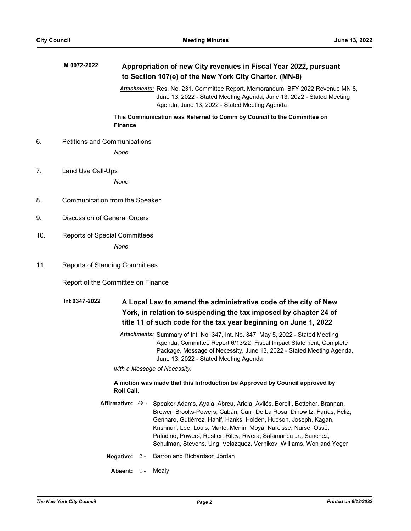|     | M 0072-2022                                                                               |                 |  | Appropriation of new City revenues in Fiscal Year 2022, pursuant<br>to Section 107(e) of the New York City Charter. (MN-8)                                                                                                                                                                                                                                                                                                                                  |  |  |  |
|-----|-------------------------------------------------------------------------------------------|-----------------|--|-------------------------------------------------------------------------------------------------------------------------------------------------------------------------------------------------------------------------------------------------------------------------------------------------------------------------------------------------------------------------------------------------------------------------------------------------------------|--|--|--|
|     |                                                                                           |                 |  | Attachments: Res. No. 231, Committee Report, Memorandum, BFY 2022 Revenue MN 8,<br>June 13, 2022 - Stated Meeting Agenda, June 13, 2022 - Stated Meeting<br>Agenda, June 13, 2022 - Stated Meeting Agenda                                                                                                                                                                                                                                                   |  |  |  |
|     |                                                                                           | <b>Finance</b>  |  | This Communication was Referred to Comm by Council to the Committee on                                                                                                                                                                                                                                                                                                                                                                                      |  |  |  |
| 6.  | <b>Petitions and Communications</b>                                                       |                 |  |                                                                                                                                                                                                                                                                                                                                                                                                                                                             |  |  |  |
|     |                                                                                           | None            |  |                                                                                                                                                                                                                                                                                                                                                                                                                                                             |  |  |  |
| 7.  | Land Use Call-Ups                                                                         |                 |  |                                                                                                                                                                                                                                                                                                                                                                                                                                                             |  |  |  |
|     |                                                                                           | None            |  |                                                                                                                                                                                                                                                                                                                                                                                                                                                             |  |  |  |
| 8.  | Communication from the Speaker                                                            |                 |  |                                                                                                                                                                                                                                                                                                                                                                                                                                                             |  |  |  |
| 9.  | <b>Discussion of General Orders</b>                                                       |                 |  |                                                                                                                                                                                                                                                                                                                                                                                                                                                             |  |  |  |
| 10. | <b>Reports of Special Committees</b>                                                      |                 |  |                                                                                                                                                                                                                                                                                                                                                                                                                                                             |  |  |  |
|     |                                                                                           | None            |  |                                                                                                                                                                                                                                                                                                                                                                                                                                                             |  |  |  |
| 11. | <b>Reports of Standing Committees</b>                                                     |                 |  |                                                                                                                                                                                                                                                                                                                                                                                                                                                             |  |  |  |
|     | Report of the Committee on Finance                                                        |                 |  |                                                                                                                                                                                                                                                                                                                                                                                                                                                             |  |  |  |
|     | Int 0347-2022                                                                             |                 |  | A Local Law to amend the administrative code of the city of New                                                                                                                                                                                                                                                                                                                                                                                             |  |  |  |
|     | York, in relation to suspending the tax imposed by chapter 24 of                          |                 |  |                                                                                                                                                                                                                                                                                                                                                                                                                                                             |  |  |  |
|     | title 11 of such code for the tax year beginning on June 1, 2022                          |                 |  |                                                                                                                                                                                                                                                                                                                                                                                                                                                             |  |  |  |
|     |                                                                                           |                 |  | Attachments: Summary of Int. No. 347, Int. No. 347, May 5, 2022 - Stated Meeting<br>Agenda, Committee Report 6/13/22, Fiscal Impact Statement, Complete<br>Package, Message of Necessity, June 13, 2022 - Stated Meeting Agenda,<br>June 13, 2022 - Stated Meeting Agenda                                                                                                                                                                                   |  |  |  |
|     |                                                                                           |                 |  | with a Message of Necessity.                                                                                                                                                                                                                                                                                                                                                                                                                                |  |  |  |
|     | A motion was made that this Introduction be Approved by Council approved by<br>Roll Call. |                 |  |                                                                                                                                                                                                                                                                                                                                                                                                                                                             |  |  |  |
|     |                                                                                           |                 |  | Affirmative: 48 - Speaker Adams, Ayala, Abreu, Ariola, Avilés, Borelli, Bottcher, Brannan,<br>Brewer, Brooks-Powers, Cabán, Carr, De La Rosa, Dinowitz, Farías, Feliz,<br>Gennaro, Gutiérrez, Hanif, Hanks, Holden, Hudson, Joseph, Kagan,<br>Krishnan, Lee, Louis, Marte, Menin, Moya, Narcisse, Nurse, Ossé,<br>Paladino, Powers, Restler, Riley, Rivera, Salamanca Jr., Sanchez,<br>Schulman, Stevens, Ung, Velázquez, Vernikov, Williams, Won and Yeger |  |  |  |
|     |                                                                                           | Negative: $2 -$ |  | Barron and Richardson Jordan                                                                                                                                                                                                                                                                                                                                                                                                                                |  |  |  |
|     |                                                                                           | Absent: 1-      |  | Mealy                                                                                                                                                                                                                                                                                                                                                                                                                                                       |  |  |  |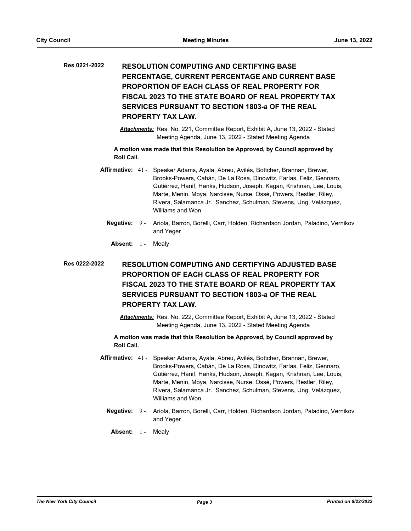# **RESOLUTION COMPUTING AND CERTIFYING BASE PERCENTAGE, CURRENT PERCENTAGE AND CURRENT BASE PROPORTION OF EACH CLASS OF REAL PROPERTY FOR FISCAL 2023 TO THE STATE BOARD OF REAL PROPERTY TAX SERVICES PURSUANT TO SECTION 1803-a OF THE REAL PROPERTY TAX LAW. Res 0221-2022**

*Attachments:* Res. No. 221, Committee Report, Exhibit A, June 13, 2022 - Stated Meeting Agenda, June 13, 2022 - Stated Meeting Agenda

**A motion was made that this Resolution be Approved, by Council approved by Roll Call.**

- Affirmative: 41 Speaker Adams, Ayala, Abreu, Avilés, Bottcher, Brannan, Brewer, Brooks-Powers, Cabán, De La Rosa, Dinowitz, Farías, Feliz, Gennaro, Gutiérrez, Hanif, Hanks, Hudson, Joseph, Kagan, Krishnan, Lee, Louis, Marte, Menin, Moya, Narcisse, Nurse, Ossé, Powers, Restler, Riley, Rivera, Salamanca Jr., Sanchez, Schulman, Stevens, Ung, Velázquez, Williams and Won
	- Negative: 9 Ariola, Barron, Borelli, Carr, Holden, Richardson Jordan, Paladino, Vernikov and Yeger
	- Absent: 1 Mealy

# **RESOLUTION COMPUTING AND CERTIFYING ADJUSTED BASE PROPORTION OF EACH CLASS OF REAL PROPERTY FOR FISCAL 2023 TO THE STATE BOARD OF REAL PROPERTY TAX SERVICES PURSUANT TO SECTION 1803-a OF THE REAL PROPERTY TAX LAW. Res 0222-2022**

*Attachments:* Res. No. 222, Committee Report, Exhibit A, June 13, 2022 - Stated Meeting Agenda, June 13, 2022 - Stated Meeting Agenda

- Affirmative: 41 Speaker Adams, Ayala, Abreu, Avilés, Bottcher, Brannan, Brewer, Brooks-Powers, Cabán, De La Rosa, Dinowitz, Farías, Feliz, Gennaro, Gutiérrez, Hanif, Hanks, Hudson, Joseph, Kagan, Krishnan, Lee, Louis, Marte, Menin, Moya, Narcisse, Nurse, Ossé, Powers, Restler, Riley, Rivera, Salamanca Jr., Sanchez, Schulman, Stevens, Ung, Velázquez, Williams and Won
	- **Negative:** Ariola, Barron, Borelli, Carr, Holden, Richardson Jordan, Paladino, Vernikov and Yeger **Negative: 9 -**
		- Absent: 1 Mealy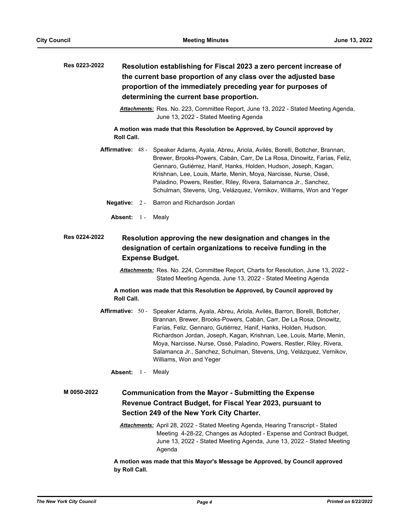| Res 0223-2022                                                                                                                                                                                                                                                   | Resolution establishing for Fiscal 2023 a zero percent increase of<br>the current base proportion of any class over the adjusted base<br>proportion of the immediately preceding year for purposes of<br>determining the current base proportion. |                                                                                                                                                                                                                                                                                                                                                                                                                                                                         |  |  |
|-----------------------------------------------------------------------------------------------------------------------------------------------------------------------------------------------------------------------------------------------------------------|---------------------------------------------------------------------------------------------------------------------------------------------------------------------------------------------------------------------------------------------------|-------------------------------------------------------------------------------------------------------------------------------------------------------------------------------------------------------------------------------------------------------------------------------------------------------------------------------------------------------------------------------------------------------------------------------------------------------------------------|--|--|
|                                                                                                                                                                                                                                                                 |                                                                                                                                                                                                                                                   | Attachments: Res. No. 223, Committee Report, June 13, 2022 - Stated Meeting Agenda,<br>June 13, 2022 - Stated Meeting Agenda                                                                                                                                                                                                                                                                                                                                            |  |  |
| Roll Call.                                                                                                                                                                                                                                                      |                                                                                                                                                                                                                                                   | A motion was made that this Resolution be Approved, by Council approved by                                                                                                                                                                                                                                                                                                                                                                                              |  |  |
| <b>Affirmative: 48 -</b>                                                                                                                                                                                                                                        |                                                                                                                                                                                                                                                   | Speaker Adams, Ayala, Abreu, Ariola, Avilés, Borelli, Bottcher, Brannan,<br>Brewer, Brooks-Powers, Cabán, Carr, De La Rosa, Dinowitz, Farías, Feliz,<br>Gennaro, Gutiérrez, Hanif, Hanks, Holden, Hudson, Joseph, Kagan,<br>Krishnan, Lee, Louis, Marte, Menin, Moya, Narcisse, Nurse, Ossé,<br>Paladino, Powers, Restler, Riley, Rivera, Salamanca Jr., Sanchez,<br>Schulman, Stevens, Ung, Velázquez, Vernikov, Williams, Won and Yeger                               |  |  |
| Negative: $2 -$                                                                                                                                                                                                                                                 |                                                                                                                                                                                                                                                   | Barron and Richardson Jordan                                                                                                                                                                                                                                                                                                                                                                                                                                            |  |  |
| Absent: 1-                                                                                                                                                                                                                                                      |                                                                                                                                                                                                                                                   | Mealy                                                                                                                                                                                                                                                                                                                                                                                                                                                                   |  |  |
| Res 0224-2022<br>Resolution approving the new designation and changes in the<br>designation of certain organizations to receive funding in the<br><b>Expense Budget.</b><br>Attachments: Res. No. 224, Committee Report, Charts for Resolution, June 13, 2022 - |                                                                                                                                                                                                                                                   |                                                                                                                                                                                                                                                                                                                                                                                                                                                                         |  |  |
| Stated Meeting Agenda, June 13, 2022 - Stated Meeting Agenda                                                                                                                                                                                                    |                                                                                                                                                                                                                                                   |                                                                                                                                                                                                                                                                                                                                                                                                                                                                         |  |  |
| A motion was made that this Resolution be Approved, by Council approved by<br>Roll Call.                                                                                                                                                                        |                                                                                                                                                                                                                                                   |                                                                                                                                                                                                                                                                                                                                                                                                                                                                         |  |  |
| <b>Affirmative: 50 -</b>                                                                                                                                                                                                                                        |                                                                                                                                                                                                                                                   | Speaker Adams, Ayala, Abreu, Ariola, Avilés, Barron, Borelli, Bottcher,<br>Brannan, Brewer, Brooks-Powers, Cabán, Carr, De La Rosa, Dinowitz,<br>Farías, Feliz, Gennaro, Gutiérrez, Hanif, Hanks, Holden, Hudson,<br>Richardson Jordan, Joseph, Kagan, Krishnan, Lee, Louis, Marte, Menin,<br>Moya, Narcisse, Nurse, Ossé, Paladino, Powers, Restler, Riley, Rivera,<br>Salamanca Jr., Sanchez, Schulman, Stevens, Ung, Velázquez, Vernikov,<br>Williams, Won and Yeger |  |  |
| <b>Absent: 1 - Mealy</b>                                                                                                                                                                                                                                        |                                                                                                                                                                                                                                                   |                                                                                                                                                                                                                                                                                                                                                                                                                                                                         |  |  |
| M 0050-2022                                                                                                                                                                                                                                                     |                                                                                                                                                                                                                                                   | <b>Communication from the Mayor - Submitting the Expense</b>                                                                                                                                                                                                                                                                                                                                                                                                            |  |  |
|                                                                                                                                                                                                                                                                 |                                                                                                                                                                                                                                                   | Revenue Contract Budget, for Fiscal Year 2023, pursuant to                                                                                                                                                                                                                                                                                                                                                                                                              |  |  |
|                                                                                                                                                                                                                                                                 |                                                                                                                                                                                                                                                   | Section 249 of the New York City Charter.                                                                                                                                                                                                                                                                                                                                                                                                                               |  |  |
|                                                                                                                                                                                                                                                                 |                                                                                                                                                                                                                                                   | Attachments: April 28, 2022 - Stated Meeting Agenda, Hearing Transcript - Stated<br>Meeting 4-28-22, Changes as Adopted - Expense and Contract Budget,<br>June 13, 2022 - Stated Meeting Agenda, June 13, 2022 - Stated Meeting                                                                                                                                                                                                                                         |  |  |

**A motion was made that this Mayor's Message be Approved, by Council approved by Roll Call.**

Agenda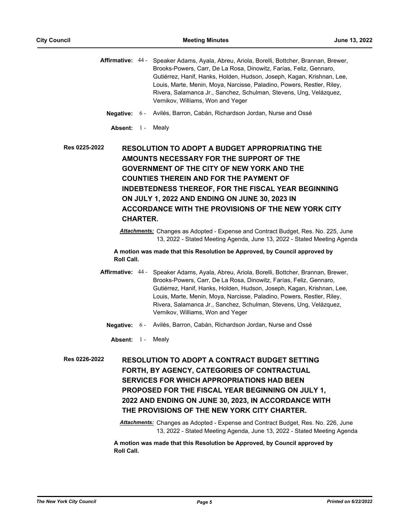Affirmative: 44 - Speaker Adams, Ayala, Abreu, Ariola, Borelli, Bottcher, Brannan, Brewer, Brooks-Powers, Carr, De La Rosa, Dinowitz, Farías, Feliz, Gennaro, Gutiérrez, Hanif, Hanks, Holden, Hudson, Joseph, Kagan, Krishnan, Lee, Louis, Marte, Menin, Moya, Narcisse, Paladino, Powers, Restler, Riley, Rivera, Salamanca Jr., Sanchez, Schulman, Stevens, Ung, Velázquez, Vernikov, Williams, Won and Yeger

- **Negative:** 6 Avilés, Barron, Cabán, Richardson Jordan, Nurse and Ossé
	- Absent: 1 Mealv

**RESOLUTION TO ADOPT A BUDGET APPROPRIATING THE AMOUNTS NECESSARY FOR THE SUPPORT OF THE GOVERNMENT OF THE CITY OF NEW YORK AND THE COUNTIES THEREIN AND FOR THE PAYMENT OF INDEBTEDNESS THEREOF, FOR THE FISCAL YEAR BEGINNING ON JULY 1, 2022 AND ENDING ON JUNE 30, 2023 IN ACCORDANCE WITH THE PROVISIONS OF THE NEW YORK CITY CHARTER. Res 0225-2022**

> *Attachments:* Changes as Adopted - Expense and Contract Budget, Res. No. 225, June 13, 2022 - Stated Meeting Agenda, June 13, 2022 - Stated Meeting Agenda

**A motion was made that this Resolution be Approved, by Council approved by Roll Call.**

- Affirmative: 44 Speaker Adams, Ayala, Abreu, Ariola, Borelli, Bottcher, Brannan, Brewer, Brooks-Powers, Carr, De La Rosa, Dinowitz, Farías, Feliz, Gennaro, Gutiérrez, Hanif, Hanks, Holden, Hudson, Joseph, Kagan, Krishnan, Lee, Louis, Marte, Menin, Moya, Narcisse, Paladino, Powers, Restler, Riley, Rivera, Salamanca Jr., Sanchez, Schulman, Stevens, Ung, Velázquez, Vernikov, Williams, Won and Yeger
	- **Negative:** 6 Avilés, Barron, Cabán, Richardson Jordan, Nurse and Ossé
	- Absent: 1 Mealy
- **RESOLUTION TO ADOPT A CONTRACT BUDGET SETTING FORTH, BY AGENCY, CATEGORIES OF CONTRACTUAL SERVICES FOR WHICH APPROPRIATIONS HAD BEEN PROPOSED FOR THE FISCAL YEAR BEGINNING ON JULY 1, 2022 AND ENDING ON JUNE 30, 2023, IN ACCORDANCE WITH THE PROVISIONS OF THE NEW YORK CITY CHARTER. Res 0226-2022**

*Attachments:* Changes as Adopted - Expense and Contract Budget, Res. No. 226, June 13, 2022 - Stated Meeting Agenda, June 13, 2022 - Stated Meeting Agenda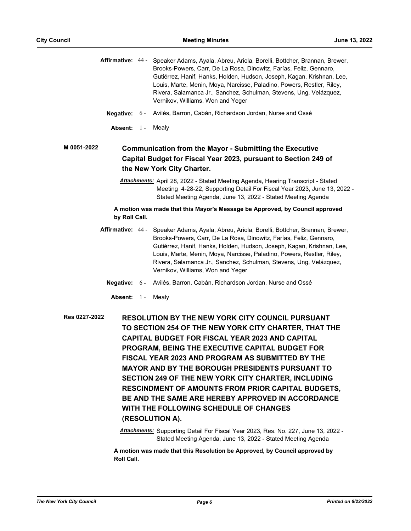|                        |       | Affirmative: 44 - Speaker Adams, Ayala, Abreu, Ariola, Borelli, Bottcher, Brannan, Brewer,<br>Brooks-Powers, Carr, De La Rosa, Dinowitz, Farías, Feliz, Gennaro,<br>Gutiérrez, Hanif, Hanks, Holden, Hudson, Joseph, Kagan, Krishnan, Lee,<br>Louis, Marte, Menin, Moya, Narcisse, Paladino, Powers, Restler, Riley,<br>Rivera, Salamanca Jr., Sanchez, Schulman, Stevens, Ung, Velázquez,<br>Vernikov, Williams, Won and Yeger                                                                                                                                                                                                                                                                                                                                                                                    |
|------------------------|-------|--------------------------------------------------------------------------------------------------------------------------------------------------------------------------------------------------------------------------------------------------------------------------------------------------------------------------------------------------------------------------------------------------------------------------------------------------------------------------------------------------------------------------------------------------------------------------------------------------------------------------------------------------------------------------------------------------------------------------------------------------------------------------------------------------------------------|
| <b>Negative:</b> $6 -$ |       | Avilés, Barron, Cabán, Richardson Jordan, Nurse and Ossé                                                                                                                                                                                                                                                                                                                                                                                                                                                                                                                                                                                                                                                                                                                                                           |
| Absent: 1 -            |       | Mealy                                                                                                                                                                                                                                                                                                                                                                                                                                                                                                                                                                                                                                                                                                                                                                                                              |
| M 0051-2022            |       | <b>Communication from the Mayor - Submitting the Executive</b><br>Capital Budget for Fiscal Year 2023, pursuant to Section 249 of<br>the New York City Charter.                                                                                                                                                                                                                                                                                                                                                                                                                                                                                                                                                                                                                                                    |
|                        |       | Attachments: April 28, 2022 - Stated Meeting Agenda, Hearing Transcript - Stated<br>Meeting 4-28-22, Supporting Detail For Fiscal Year 2023, June 13, 2022 -<br>Stated Meeting Agenda, June 13, 2022 - Stated Meeting Agenda                                                                                                                                                                                                                                                                                                                                                                                                                                                                                                                                                                                       |
| by Roll Call.          |       | A motion was made that this Mayor's Message be Approved, by Council approved                                                                                                                                                                                                                                                                                                                                                                                                                                                                                                                                                                                                                                                                                                                                       |
| Affirmative: 44 -      |       | Speaker Adams, Ayala, Abreu, Ariola, Borelli, Bottcher, Brannan, Brewer,<br>Brooks-Powers, Carr, De La Rosa, Dinowitz, Farías, Feliz, Gennaro,<br>Gutiérrez, Hanif, Hanks, Holden, Hudson, Joseph, Kagan, Krishnan, Lee,<br>Louis, Marte, Menin, Moya, Narcisse, Paladino, Powers, Restler, Riley,<br>Rivera, Salamanca Jr., Sanchez, Schulman, Stevens, Ung, Velázquez,<br>Vernikov, Williams, Won and Yeger                                                                                                                                                                                                                                                                                                                                                                                                      |
| <b>Negative:</b>       | $6 -$ | Avilés, Barron, Cabán, Richardson Jordan, Nurse and Ossé                                                                                                                                                                                                                                                                                                                                                                                                                                                                                                                                                                                                                                                                                                                                                           |
| Absent: 1-             |       | Mealy                                                                                                                                                                                                                                                                                                                                                                                                                                                                                                                                                                                                                                                                                                                                                                                                              |
| Res 0227-2022          |       | <b>RESOLUTION BY THE NEW YORK CITY COUNCIL PURSUANT</b><br>TO SECTION 254 OF THE NEW YORK CITY CHARTER, THAT THE<br><b>CAPITAL BUDGET FOR FISCAL YEAR 2023 AND CAPITAL</b><br>PROGRAM, BEING THE EXECUTIVE CAPITAL BUDGET FOR<br>FISCAL YEAR 2023 AND PROGRAM AS SUBMITTED BY THE<br><b>MAYOR AND BY THE BOROUGH PRESIDENTS PURSUANT TO</b><br>SECTION 249 OF THE NEW YORK CITY CHARTER, INCLUDING<br><b>RESCINDMENT OF AMOUNTS FROM PRIOR CAPITAL BUDGETS,</b><br>BE AND THE SAME ARE HEREBY APPROVED IN ACCORDANCE<br>WITH THE FOLLOWING SCHEDULE OF CHANGES<br>(RESOLUTION A).<br>Attachments: Supporting Detail For Fiscal Year 2023, Res. No. 227, June 13, 2022 -<br>Stated Meeting Agenda, June 13, 2022 - Stated Meeting Agenda<br>motion was mode that this Penalution be Annroyed by Council annroyed by |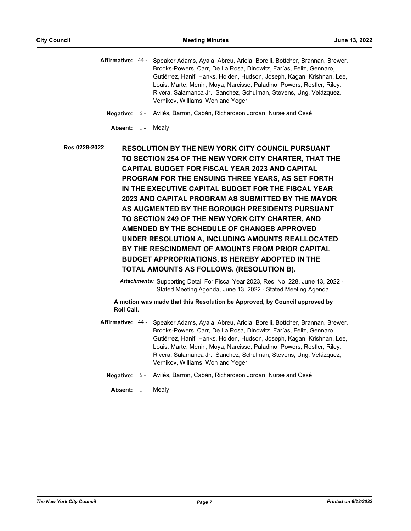Affirmative: 44 - Speaker Adams, Ayala, Abreu, Ariola, Borelli, Bottcher, Brannan, Brewer, Brooks-Powers, Carr, De La Rosa, Dinowitz, Farías, Feliz, Gennaro, Gutiérrez, Hanif, Hanks, Holden, Hudson, Joseph, Kagan, Krishnan, Lee, Louis, Marte, Menin, Moya, Narcisse, Paladino, Powers, Restler, Riley, Rivera, Salamanca Jr., Sanchez, Schulman, Stevens, Ung, Velázquez, Vernikov, Williams, Won and Yeger

- **Negative:** 6 Avilés, Barron, Cabán, Richardson Jordan, Nurse and Ossé
	- Absent: 1 Mealv

**RESOLUTION BY THE NEW YORK CITY COUNCIL PURSUANT TO SECTION 254 OF THE NEW YORK CITY CHARTER, THAT THE CAPITAL BUDGET FOR FISCAL YEAR 2023 AND CAPITAL PROGRAM FOR THE ENSUING THREE YEARS, AS SET FORTH IN THE EXECUTIVE CAPITAL BUDGET FOR THE FISCAL YEAR 2023 AND CAPITAL PROGRAM AS SUBMITTED BY THE MAYOR AS AUGMENTED BY THE BOROUGH PRESIDENTS PURSUANT TO SECTION 249 OF THE NEW YORK CITY CHARTER, AND AMENDED BY THE SCHEDULE OF CHANGES APPROVED UNDER RESOLUTION A, INCLUDING AMOUNTS REALLOCATED BY THE RESCINDMENT OF AMOUNTS FROM PRIOR CAPITAL BUDGET APPROPRIATIONS, IS HEREBY ADOPTED IN THE TOTAL AMOUNTS AS FOLLOWS. (RESOLUTION B). Res 0228-2022**

> *Attachments:* Supporting Detail For Fiscal Year 2023, Res. No. 228, June 13, 2022 - Stated Meeting Agenda, June 13, 2022 - Stated Meeting Agenda

- Affirmative: 44 Speaker Adams, Ayala, Abreu, Ariola, Borelli, Bottcher, Brannan, Brewer, Brooks-Powers, Carr, De La Rosa, Dinowitz, Farías, Feliz, Gennaro, Gutiérrez, Hanif, Hanks, Holden, Hudson, Joseph, Kagan, Krishnan, Lee, Louis, Marte, Menin, Moya, Narcisse, Paladino, Powers, Restler, Riley, Rivera, Salamanca Jr., Sanchez, Schulman, Stevens, Ung, Velázquez, Vernikov, Williams, Won and Yeger
	- **Negative:** 6 Avilés, Barron, Cabán, Richardson Jordan, Nurse and Ossé
		- Absent: 1 Mealv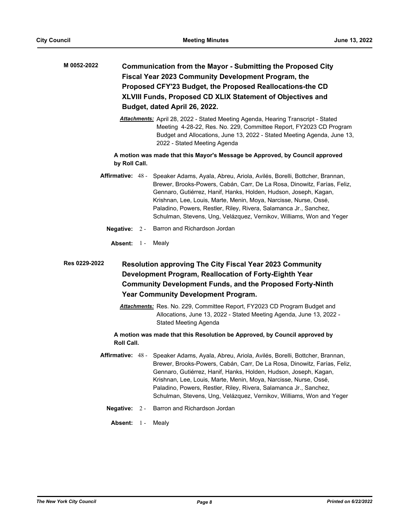- **Communication from the Mayor Submitting the Proposed City Fiscal Year 2023 Community Development Program, the Proposed CFY'23 Budget, the Proposed Reallocations-the CD XLVIII Funds, Proposed CD XLIX Statement of Objectives and Budget, dated April 26, 2022. M 0052-2022**
	- *Attachments:* April 28, 2022 Stated Meeting Agenda, Hearing Transcript Stated Meeting 4-28-22, Res. No. 229, Committee Report, FY2023 CD Program Budget and Allocations, June 13, 2022 - Stated Meeting Agenda, June 13, 2022 - Stated Meeting Agenda

**A motion was made that this Mayor's Message be Approved, by Council approved by Roll Call.**

- **Affirmative:** Speaker Adams, Ayala, Abreu, Ariola, Avilés, Borelli, Bottcher, Brannan, Brewer, Brooks-Powers, Cabán, Carr, De La Rosa, Dinowitz, Farías, Feliz, Gennaro, Gutiérrez, Hanif, Hanks, Holden, Hudson, Joseph, Kagan, Krishnan, Lee, Louis, Marte, Menin, Moya, Narcisse, Nurse, Ossé, Paladino, Powers, Restler, Riley, Rivera, Salamanca Jr., Sanchez, Schulman, Stevens, Ung, Velázquez, Vernikov, Williams, Won and Yeger Affirmative: 48 -
	- **Negative:** 2 Barron and Richardson Jordan
		- Absent: 1 Mealy

# **Resolution approving The City Fiscal Year 2023 Community Development Program, Reallocation of Forty-Eighth Year Community Development Funds, and the Proposed Forty-Ninth Year Community Development Program. Res 0229-2022**

*Attachments:* Res. No. 229, Committee Report, FY2023 CD Program Budget and Allocations, June 13, 2022 - Stated Meeting Agenda, June 13, 2022 - Stated Meeting Agenda

- Affirmative: 48 Speaker Adams, Ayala, Abreu, Ariola, Avilés, Borelli, Bottcher, Brannan, Brewer, Brooks-Powers, Cabán, Carr, De La Rosa, Dinowitz, Farías, Feliz, Gennaro, Gutiérrez, Hanif, Hanks, Holden, Hudson, Joseph, Kagan, Krishnan, Lee, Louis, Marte, Menin, Moya, Narcisse, Nurse, Ossé, Paladino, Powers, Restler, Riley, Rivera, Salamanca Jr., Sanchez, Schulman, Stevens, Ung, Velázquez, Vernikov, Williams, Won and Yeger
	- **Negative:** 2 Barron and Richardson Jordan
		- Absent: 1 Mealy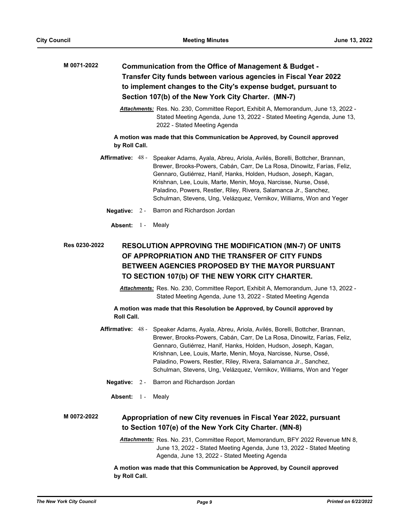| M 0071-2022                                                                              | Communication from the Office of Management & Budget -<br>Transfer City funds between various agencies in Fiscal Year 2022<br>to implement changes to the City's expense budget, pursuant to |                                                                                                                                                                                                                                                                                                                                                                                                                                                             |  |  |
|------------------------------------------------------------------------------------------|----------------------------------------------------------------------------------------------------------------------------------------------------------------------------------------------|-------------------------------------------------------------------------------------------------------------------------------------------------------------------------------------------------------------------------------------------------------------------------------------------------------------------------------------------------------------------------------------------------------------------------------------------------------------|--|--|
|                                                                                          |                                                                                                                                                                                              | Section 107(b) of the New York City Charter. (MN-7)                                                                                                                                                                                                                                                                                                                                                                                                         |  |  |
|                                                                                          |                                                                                                                                                                                              | Attachments: Res. No. 230, Committee Report, Exhibit A, Memorandum, June 13, 2022 -<br>Stated Meeting Agenda, June 13, 2022 - Stated Meeting Agenda, June 13,<br>2022 - Stated Meeting Agenda                                                                                                                                                                                                                                                               |  |  |
| by Roll Call.                                                                            |                                                                                                                                                                                              | A motion was made that this Communication be Approved, by Council approved                                                                                                                                                                                                                                                                                                                                                                                  |  |  |
| Affirmative: 48 -                                                                        |                                                                                                                                                                                              | Speaker Adams, Ayala, Abreu, Ariola, Avilés, Borelli, Bottcher, Brannan,<br>Brewer, Brooks-Powers, Cabán, Carr, De La Rosa, Dinowitz, Farías, Feliz,<br>Gennaro, Gutiérrez, Hanif, Hanks, Holden, Hudson, Joseph, Kagan,<br>Krishnan, Lee, Louis, Marte, Menin, Moya, Narcisse, Nurse, Ossé,<br>Paladino, Powers, Restler, Riley, Rivera, Salamanca Jr., Sanchez,<br>Schulman, Stevens, Ung, Velázquez, Vernikov, Williams, Won and Yeger                   |  |  |
| Negative: $2 -$                                                                          |                                                                                                                                                                                              | Barron and Richardson Jordan                                                                                                                                                                                                                                                                                                                                                                                                                                |  |  |
| Absent: 1 -                                                                              |                                                                                                                                                                                              | Mealy                                                                                                                                                                                                                                                                                                                                                                                                                                                       |  |  |
| <b>Res 0230-2022</b>                                                                     |                                                                                                                                                                                              | <b>RESOLUTION APPROVING THE MODIFICATION (MN-7) OF UNITS</b><br>OF APPROPRIATION AND THE TRANSFER OF CITY FUNDS<br><b>BETWEEN AGENCIES PROPOSED BY THE MAYOR PURSUANT</b><br>TO SECTION 107(b) OF THE NEW YORK CITY CHARTER.                                                                                                                                                                                                                                |  |  |
|                                                                                          |                                                                                                                                                                                              | Attachments: Res. No. 230, Committee Report, Exhibit A, Memorandum, June 13, 2022 -<br>Stated Meeting Agenda, June 13, 2022 - Stated Meeting Agenda                                                                                                                                                                                                                                                                                                         |  |  |
| A motion was made that this Resolution be Approved, by Council approved by<br>Roll Call. |                                                                                                                                                                                              |                                                                                                                                                                                                                                                                                                                                                                                                                                                             |  |  |
|                                                                                          |                                                                                                                                                                                              | Affirmative: 48 - Speaker Adams, Ayala, Abreu, Ariola, Avilés, Borelli, Bottcher, Brannan,<br>Brewer, Brooks-Powers, Cabán, Carr, De La Rosa, Dinowitz, Farías, Feliz,<br>Gennaro, Gutiérrez, Hanif, Hanks, Holden, Hudson, Joseph, Kagan,<br>Krishnan, Lee, Louis, Marte, Menin, Moya, Narcisse, Nurse, Ossé,<br>Paladino, Powers, Restler, Riley, Rivera, Salamanca Jr., Sanchez,<br>Schulman, Stevens, Ung, Velázquez, Vernikov, Williams, Won and Yeger |  |  |
| Negative: $2 -$                                                                          |                                                                                                                                                                                              | Barron and Richardson Jordan                                                                                                                                                                                                                                                                                                                                                                                                                                |  |  |
| Absent: 1-                                                                               |                                                                                                                                                                                              | Mealy                                                                                                                                                                                                                                                                                                                                                                                                                                                       |  |  |
| M 0072-2022                                                                              |                                                                                                                                                                                              | Appropriation of new City revenues in Fiscal Year 2022, pursuant<br>to Section 107(e) of the New York City Charter. (MN-8)                                                                                                                                                                                                                                                                                                                                  |  |  |
|                                                                                          |                                                                                                                                                                                              | Attachments: Res. No. 231, Committee Report, Memorandum, BFY 2022 Revenue MN 8,<br>June 13, 2022 - Stated Meeting Agenda, June 13, 2022 - Stated Meeting<br>Agenda, June 13, 2022 - Stated Meeting Agenda                                                                                                                                                                                                                                                   |  |  |
|                                                                                          | A motion was made that this Communication be Approved, by Council approved<br>by Roll Call.                                                                                                  |                                                                                                                                                                                                                                                                                                                                                                                                                                                             |  |  |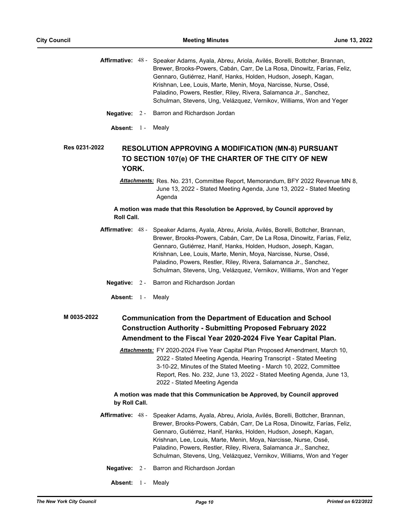| Affirmative: 48 - | Speaker Adams, Ayala, Abreu, Ariola, Avilés, Borelli, Bottcher, Brannan, |
|-------------------|--------------------------------------------------------------------------|
|                   | Brewer, Brooks-Powers, Cabán, Carr, De La Rosa, Dinowitz, Farías, Feliz, |
|                   | Gennaro, Gutiérrez, Hanif, Hanks, Holden, Hudson, Joseph, Kagan,         |
|                   | Krishnan, Lee, Louis, Marte, Menin, Moya, Narcisse, Nurse, Ossé,         |
|                   | Paladino, Powers, Restler, Riley, Rivera, Salamanca Jr., Sanchez,        |
|                   | Schulman, Stevens, Ung, Velázquez, Vernikov, Williams, Won and Yeger     |
|                   |                                                                          |

- **Negative:** 2 Barron and Richardson Jordan
- Absent: 1 Mealv

#### **RESOLUTION APPROVING A MODIFICATION (MN-8) PURSUANT TO SECTION 107(e) OF THE CHARTER OF THE CITY OF NEW YORK. Res 0231-2022**

*Attachments:* Res. No. 231, Committee Report, Memorandum, BFY 2022 Revenue MN 8, June 13, 2022 - Stated Meeting Agenda, June 13, 2022 - Stated Meeting Agenda

### **A motion was made that this Resolution be Approved, by Council approved by Roll Call.**

- Affirmative: 48 Speaker Adams, Ayala, Abreu, Ariola, Avilés, Borelli, Bottcher, Brannan, Brewer, Brooks-Powers, Cabán, Carr, De La Rosa, Dinowitz, Farías, Feliz, Gennaro, Gutiérrez, Hanif, Hanks, Holden, Hudson, Joseph, Kagan, Krishnan, Lee, Louis, Marte, Menin, Moya, Narcisse, Nurse, Ossé, Paladino, Powers, Restler, Riley, Rivera, Salamanca Jr., Sanchez, Schulman, Stevens, Ung, Velázquez, Vernikov, Williams, Won and Yeger
	- **Negative:** 2 Barron and Richardson Jordan
		- Absent: 1 Mealy

#### **Communication from the Department of Education and School Construction Authority - Submitting Proposed February 2022 Amendment to the Fiscal Year 2020-2024 Five Year Capital Plan. M 0035-2022**

*Attachments:* FY 2020-2024 Five Year Capital Plan Proposed Amendment, March 10, 2022 - Stated Meeting Agenda, Hearing Transcript - Stated Meeting 3-10-22, Minutes of the Stated Meeting - March 10, 2022, Committee Report, Res. No. 232, June 13, 2022 - Stated Meeting Agenda, June 13, 2022 - Stated Meeting Agenda

- Affirmative: 48 Speaker Adams, Ayala, Abreu, Ariola, Avilés, Borelli, Bottcher, Brannan, Brewer, Brooks-Powers, Cabán, Carr, De La Rosa, Dinowitz, Farías, Feliz, Gennaro, Gutiérrez, Hanif, Hanks, Holden, Hudson, Joseph, Kagan, Krishnan, Lee, Louis, Marte, Menin, Moya, Narcisse, Nurse, Ossé, Paladino, Powers, Restler, Riley, Rivera, Salamanca Jr., Sanchez, Schulman, Stevens, Ung, Velázquez, Vernikov, Williams, Won and Yeger
	- **Negative:** 2 Barron and Richardson Jordan
		- Absent: 1 Mealy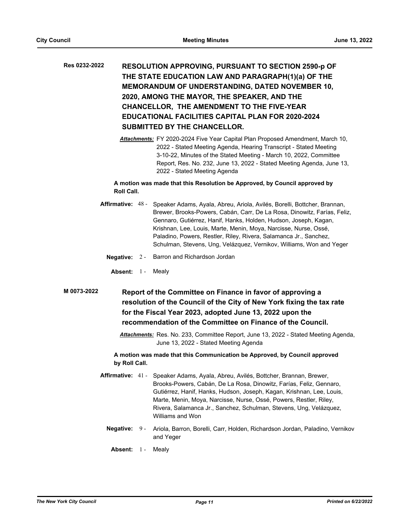# **RESOLUTION APPROVING, PURSUANT TO SECTION 2590-p OF THE STATE EDUCATION LAW AND PARAGRAPH(1)(a) OF THE MEMORANDUM OF UNDERSTANDING, DATED NOVEMBER 10, 2020, AMONG THE MAYOR, THE SPEAKER, AND THE CHANCELLOR, THE AMENDMENT TO THE FIVE-YEAR EDUCATIONAL FACILITIES CAPITAL PLAN FOR 2020-2024 SUBMITTED BY THE CHANCELLOR. Res 0232-2022**

*Attachments:* FY 2020-2024 Five Year Capital Plan Proposed Amendment, March 10, 2022 - Stated Meeting Agenda, Hearing Transcript - Stated Meeting 3-10-22, Minutes of the Stated Meeting - March 10, 2022, Committee Report, Res. No. 232, June 13, 2022 - Stated Meeting Agenda, June 13, 2022 - Stated Meeting Agenda

# **A motion was made that this Resolution be Approved, by Council approved by Roll Call.**

- **Affirmative:** Speaker Adams, Ayala, Abreu, Ariola, Avilés, Borelli, Bottcher, Brannan, Brewer, Brooks-Powers, Cabán, Carr, De La Rosa, Dinowitz, Farías, Feliz, Gennaro, Gutiérrez, Hanif, Hanks, Holden, Hudson, Joseph, Kagan, Krishnan, Lee, Louis, Marte, Menin, Moya, Narcisse, Nurse, Ossé, Paladino, Powers, Restler, Riley, Rivera, Salamanca Jr., Sanchez, Schulman, Stevens, Ung, Velázquez, Vernikov, Williams, Won and Yeger Affirmative: 48 -
	- **Negative:** 2 Barron and Richardson Jordan
		- Absent: 1 Mealy
- **Report of the Committee on Finance in favor of approving a resolution of the Council of the City of New York fixing the tax rate for the Fiscal Year 2023, adopted June 13, 2022 upon the recommendation of the Committee on Finance of the Council. M 0073-2022**
	- *Attachments:* Res. No. 233, Committee Report, June 13, 2022 Stated Meeting Agenda, June 13, 2022 - Stated Meeting Agenda

- **Affirmative:** Speaker Adams, Ayala, Abreu, Avilés, Bottcher, Brannan, Brewer, Brooks-Powers, Cabán, De La Rosa, Dinowitz, Farías, Feliz, Gennaro, Gutiérrez, Hanif, Hanks, Hudson, Joseph, Kagan, Krishnan, Lee, Louis, Marte, Menin, Moya, Narcisse, Nurse, Ossé, Powers, Restler, Riley, Rivera, Salamanca Jr., Sanchez, Schulman, Stevens, Ung, Velázquez, Williams and Won Affirmative: 41-
	- Negative: 9 Ariola, Barron, Borelli, Carr, Holden, Richardson Jordan, Paladino, Vernikov and Yeger
	- Absent: 1 Mealy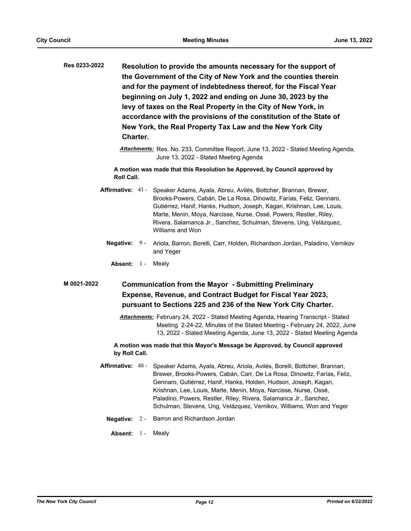| Res 0233-2022 | Resolution to provide the amounts necessary for the support of     |
|---------------|--------------------------------------------------------------------|
|               | the Government of the City of New York and the counties therein    |
|               | and for the payment of indebtedness thereof, for the Fiscal Year   |
|               | beginning on July 1, 2022 and ending on June 30, 2023 by the       |
|               | levy of taxes on the Real Property in the City of New York, in     |
|               | accordance with the provisions of the constitution of the State of |
|               | New York, the Real Property Tax Law and the New York City          |
|               | Charter.                                                           |

*Attachments:* Res. No. 233, Committee Report, June 13, 2022 - Stated Meeting Agenda, June 13, 2022 - Stated Meeting Agenda

**A motion was made that this Resolution be Approved, by Council approved by Roll Call.**

Affirmative: 41 - Speaker Adams, Ayala, Abreu, Avilés, Bottcher, Brannan, Brewer, Brooks-Powers, Cabán, De La Rosa, Dinowitz, Farías, Feliz, Gennaro, Gutiérrez, Hanif, Hanks, Hudson, Joseph, Kagan, Krishnan, Lee, Louis, Marte, Menin, Moya, Narcisse, Nurse, Ossé, Powers, Restler, Riley, Rivera, Salamanca Jr., Sanchez, Schulman, Stevens, Ung, Velázquez, Williams and Won

Negative: 9 - Ariola, Barron, Borelli, Carr, Holden, Richardson Jordan, Paladino, Vernikov and Yeger

Absent: 1 - Mealy

#### **Communication from the Mayor - Submitting Preliminary Expense, Revenue, and Contract Budget for Fiscal Year 2023, pursuant to Sections 225 and 236 of the New York City Charter. M 0021-2022**

*Attachments:* February 24, 2022 - Stated Meeting Agenda, Hearing Transcript - Stated Meeting 2-24-22, Minutes of the Stated Meeting - February 24, 2022, June 13, 2022 - Stated Meeting Agenda, June 13, 2022 - Stated Meeting Agenda

# **A motion was made that this Mayor's Message be Approved, by Council approved by Roll Call.**

- **Affirmative:** Speaker Adams, Ayala, Abreu, Ariola, Avilés, Borelli, Bottcher, Brannan, Brewer, Brooks-Powers, Cabán, Carr, De La Rosa, Dinowitz, Farías, Feliz, Gennaro, Gutiérrez, Hanif, Hanks, Holden, Hudson, Joseph, Kagan, Krishnan, Lee, Louis, Marte, Menin, Moya, Narcisse, Nurse, Ossé, Paladino, Powers, Restler, Riley, Rivera, Salamanca Jr., Sanchez, Schulman, Stevens, Ung, Velázquez, Vernikov, Williams, Won and Yeger Affirmative: 48 -
	- **Negative:** 2 Barron and Richardson Jordan

**Absent:** 1 - Mealy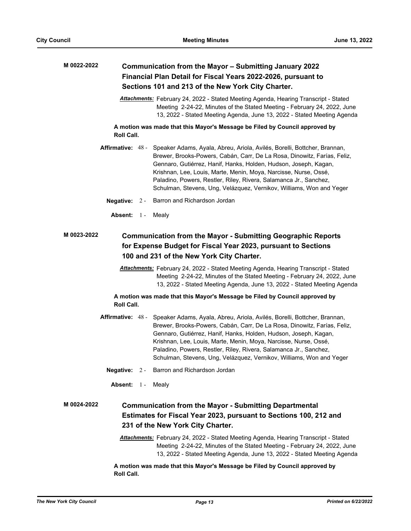| M 0022-2022 | Communication from the Mayor - Submitting January 2022<br>Financial Plan Detail for Fiscal Years 2022-2026, pursuant to |  |                                                                                                                                                                                                                                                                                                                                                                                                                                           |  |  |
|-------------|-------------------------------------------------------------------------------------------------------------------------|--|-------------------------------------------------------------------------------------------------------------------------------------------------------------------------------------------------------------------------------------------------------------------------------------------------------------------------------------------------------------------------------------------------------------------------------------------|--|--|
|             |                                                                                                                         |  | Sections 101 and 213 of the New York City Charter.                                                                                                                                                                                                                                                                                                                                                                                        |  |  |
|             |                                                                                                                         |  | <b>Attachments:</b> February 24, 2022 - Stated Meeting Agenda, Hearing Transcript - Stated<br>Meeting 2-24-22, Minutes of the Stated Meeting - February 24, 2022, June<br>13, 2022 - Stated Meeting Agenda, June 13, 2022 - Stated Meeting Agenda                                                                                                                                                                                         |  |  |
|             | Roll Call.                                                                                                              |  | A motion was made that this Mayor's Message be Filed by Council approved by                                                                                                                                                                                                                                                                                                                                                               |  |  |
|             | Affirmative: 48 -                                                                                                       |  | Speaker Adams, Ayala, Abreu, Ariola, Avilés, Borelli, Bottcher, Brannan,<br>Brewer, Brooks-Powers, Cabán, Carr, De La Rosa, Dinowitz, Farías, Feliz,<br>Gennaro, Gutiérrez, Hanif, Hanks, Holden, Hudson, Joseph, Kagan,<br>Krishnan, Lee, Louis, Marte, Menin, Moya, Narcisse, Nurse, Ossé,<br>Paladino, Powers, Restler, Riley, Rivera, Salamanca Jr., Sanchez,<br>Schulman, Stevens, Ung, Velázquez, Vernikov, Williams, Won and Yeger |  |  |
|             | Negative: $2 -$                                                                                                         |  | Barron and Richardson Jordan                                                                                                                                                                                                                                                                                                                                                                                                              |  |  |
|             | Absent: 1 -                                                                                                             |  | Mealy                                                                                                                                                                                                                                                                                                                                                                                                                                     |  |  |
| M 0023-2022 |                                                                                                                         |  | <b>Communication from the Mayor - Submitting Geographic Reports</b><br>for Expense Budget for Fiscal Year 2023, pursuant to Sections<br>100 and 231 of the New York City Charter.                                                                                                                                                                                                                                                         |  |  |
|             |                                                                                                                         |  | <b>Attachments:</b> February 24, 2022 - Stated Meeting Agenda, Hearing Transcript - Stated<br>Meeting 2-24-22, Minutes of the Stated Meeting - February 24, 2022, June<br>13, 2022 - Stated Meeting Agenda, June 13, 2022 - Stated Meeting Agenda                                                                                                                                                                                         |  |  |
|             | Roll Call.                                                                                                              |  | A motion was made that this Mayor's Message be Filed by Council approved by                                                                                                                                                                                                                                                                                                                                                               |  |  |
|             | Affirmative: 48 -                                                                                                       |  | Speaker Adams, Ayala, Abreu, Ariola, Avilés, Borelli, Bottcher, Brannan,<br>Brewer, Brooks-Powers, Cabán, Carr, De La Rosa, Dinowitz, Farías, Feliz,<br>Gennaro, Gutiérrez, Hanif, Hanks, Holden, Hudson, Joseph, Kagan,<br>Krishnan, Lee, Louis, Marte, Menin, Moya, Narcisse, Nurse, Ossé,<br>Paladino, Powers, Restler, Riley, Rivera, Salamanca Jr., Sanchez,<br>Schulman, Stevens, Ung, Velázquez, Vernikov, Williams, Won and Yeger |  |  |
|             |                                                                                                                         |  | Negative: 2 - Barron and Richardson Jordan                                                                                                                                                                                                                                                                                                                                                                                                |  |  |
|             | Absent: 1-                                                                                                              |  | Mealy                                                                                                                                                                                                                                                                                                                                                                                                                                     |  |  |
| M 0024-2022 |                                                                                                                         |  | <b>Communication from the Mayor - Submitting Departmental</b><br>Estimates for Fiscal Year 2023, pursuant to Sections 100, 212 and<br>231 of the New York City Charter.                                                                                                                                                                                                                                                                   |  |  |
|             |                                                                                                                         |  | <b>Attachments:</b> February 24, 2022 - Stated Meeting Agenda, Hearing Transcript - Stated<br>Meeting 2-24-22, Minutes of the Stated Meeting - February 24, 2022, June<br>13, 2022 - Stated Meeting Agenda, June 13, 2022 - Stated Meeting Agenda                                                                                                                                                                                         |  |  |
|             | Roll Call.                                                                                                              |  | A motion was made that this Mayor's Message be Filed by Council approved by                                                                                                                                                                                                                                                                                                                                                               |  |  |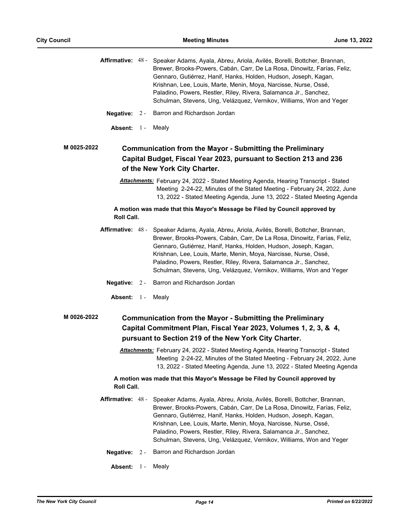|                   |                                                                                                                                                                                                                                                   | Affirmative: 48 - Speaker Adams, Ayala, Abreu, Ariola, Avilés, Borelli, Bottcher, Brannan,<br>Brewer, Brooks-Powers, Cabán, Carr, De La Rosa, Dinowitz, Farías, Feliz,<br>Gennaro, Gutiérrez, Hanif, Hanks, Holden, Hudson, Joseph, Kagan,<br>Krishnan, Lee, Louis, Marte, Menin, Moya, Narcisse, Nurse, Ossé,<br>Paladino, Powers, Restler, Riley, Rivera, Salamanca Jr., Sanchez,<br>Schulman, Stevens, Ung, Velázquez, Vernikov, Williams, Won and Yeger |  |  |
|-------------------|---------------------------------------------------------------------------------------------------------------------------------------------------------------------------------------------------------------------------------------------------|-------------------------------------------------------------------------------------------------------------------------------------------------------------------------------------------------------------------------------------------------------------------------------------------------------------------------------------------------------------------------------------------------------------------------------------------------------------|--|--|
| Negative: $2 -$   |                                                                                                                                                                                                                                                   | Barron and Richardson Jordan                                                                                                                                                                                                                                                                                                                                                                                                                                |  |  |
| Absent: $1 -$     |                                                                                                                                                                                                                                                   | Mealy                                                                                                                                                                                                                                                                                                                                                                                                                                                       |  |  |
| M 0025-2022       |                                                                                                                                                                                                                                                   | <b>Communication from the Mayor - Submitting the Preliminary</b><br>Capital Budget, Fiscal Year 2023, pursuant to Section 213 and 236<br>of the New York City Charter.                                                                                                                                                                                                                                                                                      |  |  |
|                   |                                                                                                                                                                                                                                                   | Attachments: February 24, 2022 - Stated Meeting Agenda, Hearing Transcript - Stated<br>Meeting 2-24-22, Minutes of the Stated Meeting - February 24, 2022, June<br>13, 2022 - Stated Meeting Agenda, June 13, 2022 - Stated Meeting Agenda                                                                                                                                                                                                                  |  |  |
| Roll Call.        |                                                                                                                                                                                                                                                   | A motion was made that this Mayor's Message be Filed by Council approved by                                                                                                                                                                                                                                                                                                                                                                                 |  |  |
|                   |                                                                                                                                                                                                                                                   | Affirmative: 48 - Speaker Adams, Ayala, Abreu, Ariola, Avilés, Borelli, Bottcher, Brannan,<br>Brewer, Brooks-Powers, Cabán, Carr, De La Rosa, Dinowitz, Farías, Feliz,<br>Gennaro, Gutiérrez, Hanif, Hanks, Holden, Hudson, Joseph, Kagan,<br>Krishnan, Lee, Louis, Marte, Menin, Moya, Narcisse, Nurse, Ossé,<br>Paladino, Powers, Restler, Riley, Rivera, Salamanca Jr., Sanchez,<br>Schulman, Stevens, Ung, Velázquez, Vernikov, Williams, Won and Yeger |  |  |
| Negative: $2 -$   |                                                                                                                                                                                                                                                   | Barron and Richardson Jordan                                                                                                                                                                                                                                                                                                                                                                                                                                |  |  |
| Absent: 1-        |                                                                                                                                                                                                                                                   | Mealy                                                                                                                                                                                                                                                                                                                                                                                                                                                       |  |  |
| M 0026-2022       |                                                                                                                                                                                                                                                   | <b>Communication from the Mayor - Submitting the Preliminary</b><br>Capital Commitment Plan, Fiscal Year 2023, Volumes 1, 2, 3, & 4,<br>pursuant to Section 219 of the New York City Charter.                                                                                                                                                                                                                                                               |  |  |
|                   | <b>Attachments:</b> February 24, 2022 - Stated Meeting Agenda, Hearing Transcript - Stated<br>Meeting 2-24-22, Minutes of the Stated Meeting - February 24, 2022, June<br>13, 2022 - Stated Meeting Agenda, June 13, 2022 - Stated Meeting Agenda |                                                                                                                                                                                                                                                                                                                                                                                                                                                             |  |  |
| Roll Call.        |                                                                                                                                                                                                                                                   | A motion was made that this Mayor's Message be Filed by Council approved by                                                                                                                                                                                                                                                                                                                                                                                 |  |  |
| Affirmative: 48 - |                                                                                                                                                                                                                                                   | Speaker Adams, Ayala, Abreu, Ariola, Avilés, Borelli, Bottcher, Brannan,<br>Brewer, Brooks-Powers, Cabán, Carr, De La Rosa, Dinowitz, Farías, Feliz,<br>Gennaro, Gutiérrez, Hanif, Hanks, Holden, Hudson, Joseph, Kagan,<br>Krishnan, Lee, Louis, Marte, Menin, Moya, Narcisse, Nurse, Ossé,<br>Paladino, Powers, Restler, Riley, Rivera, Salamanca Jr., Sanchez,<br>Schulman, Stevens, Ung, Velázquez, Vernikov, Williams, Won and Yeger                   |  |  |
| Negative:         | $2 -$                                                                                                                                                                                                                                             | Barron and Richardson Jordan                                                                                                                                                                                                                                                                                                                                                                                                                                |  |  |
| Absent:           | $1 -$                                                                                                                                                                                                                                             | Mealy                                                                                                                                                                                                                                                                                                                                                                                                                                                       |  |  |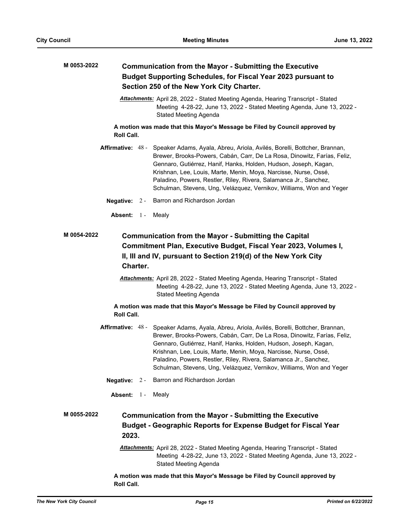| M 0053-2022 | <b>Communication from the Mayor - Submitting the Executive</b><br><b>Budget Supporting Schedules, for Fiscal Year 2023 pursuant to</b><br>Section 250 of the New York City Charter.                            |  |                                                                                                                                                                                                                                                                                                                                                                                                                                                             |  |  |
|-------------|----------------------------------------------------------------------------------------------------------------------------------------------------------------------------------------------------------------|--|-------------------------------------------------------------------------------------------------------------------------------------------------------------------------------------------------------------------------------------------------------------------------------------------------------------------------------------------------------------------------------------------------------------------------------------------------------------|--|--|
|             |                                                                                                                                                                                                                |  | Attachments: April 28, 2022 - Stated Meeting Agenda, Hearing Transcript - Stated<br>Meeting 4-28-22, June 13, 2022 - Stated Meeting Agenda, June 13, 2022 -<br>Stated Meeting Agenda                                                                                                                                                                                                                                                                        |  |  |
|             | <b>Roll Call.</b>                                                                                                                                                                                              |  | A motion was made that this Mayor's Message be Filed by Council approved by                                                                                                                                                                                                                                                                                                                                                                                 |  |  |
|             |                                                                                                                                                                                                                |  | Affirmative: 48 - Speaker Adams, Ayala, Abreu, Ariola, Avilés, Borelli, Bottcher, Brannan,<br>Brewer, Brooks-Powers, Cabán, Carr, De La Rosa, Dinowitz, Farías, Feliz,<br>Gennaro, Gutiérrez, Hanif, Hanks, Holden, Hudson, Joseph, Kagan,<br>Krishnan, Lee, Louis, Marte, Menin, Moya, Narcisse, Nurse, Ossé,<br>Paladino, Powers, Restler, Riley, Rivera, Salamanca Jr., Sanchez,<br>Schulman, Stevens, Ung, Velázquez, Vernikov, Williams, Won and Yeger |  |  |
|             | Negative: $2 -$                                                                                                                                                                                                |  | Barron and Richardson Jordan                                                                                                                                                                                                                                                                                                                                                                                                                                |  |  |
|             | Absent: 1-                                                                                                                                                                                                     |  | Mealy                                                                                                                                                                                                                                                                                                                                                                                                                                                       |  |  |
| M 0054-2022 | <b>Communication from the Mayor - Submitting the Capital</b><br>Commitment Plan, Executive Budget, Fiscal Year 2023, Volumes I,<br>II, III and IV, pursuant to Section 219(d) of the New York City<br>Charter. |  |                                                                                                                                                                                                                                                                                                                                                                                                                                                             |  |  |
|             | Attachments: April 28, 2022 - Stated Meeting Agenda, Hearing Transcript - Stated<br>Meeting 4-28-22, June 13, 2022 - Stated Meeting Agenda, June 13, 2022 -<br>Stated Meeting Agenda                           |  |                                                                                                                                                                                                                                                                                                                                                                                                                                                             |  |  |
|             | Roll Call.                                                                                                                                                                                                     |  | A motion was made that this Mayor's Message be Filed by Council approved by                                                                                                                                                                                                                                                                                                                                                                                 |  |  |
|             |                                                                                                                                                                                                                |  | Affirmative: 48 - Speaker Adams, Ayala, Abreu, Ariola, Avilés, Borelli, Bottcher, Brannan,<br>Brewer, Brooks-Powers, Cabán, Carr, De La Rosa, Dinowitz, Farías, Feliz,<br>Gennaro, Gutiérrez, Hanif, Hanks, Holden, Hudson, Joseph, Kagan,<br>Krishnan, Lee, Louis, Marte, Menin, Moya, Narcisse, Nurse, Ossé,<br>Paladino, Powers, Restler, Riley, Rivera, Salamanca Jr., Sanchez,<br>Schulman, Stevens, Ung, Velázquez, Vernikov, Williams, Won and Yeger |  |  |
|             | Negative: 2 -                                                                                                                                                                                                  |  | Barron and Richardson Jordan                                                                                                                                                                                                                                                                                                                                                                                                                                |  |  |
|             | Absent: 1 -                                                                                                                                                                                                    |  | Mealy                                                                                                                                                                                                                                                                                                                                                                                                                                                       |  |  |
| M 0055-2022 | 2023.                                                                                                                                                                                                          |  | <b>Communication from the Mayor - Submitting the Executive</b><br><b>Budget - Geographic Reports for Expense Budget for Fiscal Year</b>                                                                                                                                                                                                                                                                                                                     |  |  |
|             |                                                                                                                                                                                                                |  | Attachments: April 28, 2022 - Stated Meeting Agenda, Hearing Transcript - Stated<br>Meeting 4-28-22, June 13, 2022 - Stated Meeting Agenda, June 13, 2022 -<br><b>Stated Meeting Agenda</b>                                                                                                                                                                                                                                                                 |  |  |
|             | Roll Call.                                                                                                                                                                                                     |  | A motion was made that this Mayor's Message be Filed by Council approved by                                                                                                                                                                                                                                                                                                                                                                                 |  |  |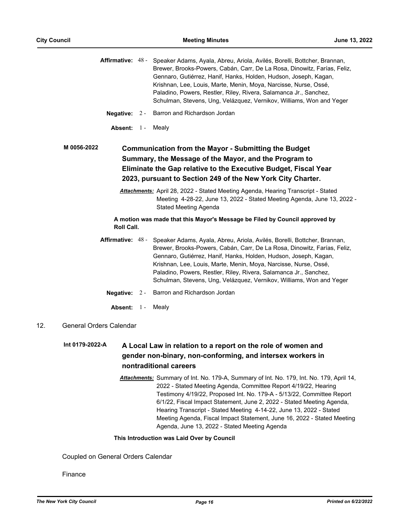$\overline{48}$ 

|             |                                | Affirmative: 48 - Speaker Adams, Ayala, Abreu, Ariola, Avilés, Borelli, Bottcher, Brannan,<br>Brewer, Brooks-Powers, Cabán, Carr, De La Rosa, Dinowitz, Farías, Feliz,<br>Gennaro, Gutiérrez, Hanif, Hanks, Holden, Hudson, Joseph, Kagan,<br>Krishnan, Lee, Louis, Marte, Menin, Moya, Narcisse, Nurse, Ossé,<br>Paladino, Powers, Restler, Riley, Rivera, Salamanca Jr., Sanchez,<br>Schulman, Stevens, Ung, Velázquez, Vernikov, Williams, Won and Yeger |
|-------------|--------------------------------|-------------------------------------------------------------------------------------------------------------------------------------------------------------------------------------------------------------------------------------------------------------------------------------------------------------------------------------------------------------------------------------------------------------------------------------------------------------|
|             | Negative: $2 -$                | Barron and Richardson Jordan                                                                                                                                                                                                                                                                                                                                                                                                                                |
|             | Absent: 1-                     | Mealy                                                                                                                                                                                                                                                                                                                                                                                                                                                       |
| M 0056-2022 |                                | <b>Communication from the Mayor - Submitting the Budget</b><br>Summary, the Message of the Mayor, and the Program to<br>Eliminate the Gap relative to the Executive Budget, Fiscal Year<br>2023, pursuant to Section 249 of the New York City Charter.                                                                                                                                                                                                      |
|             |                                | <b>Attachments:</b> April 28, 2022 - Stated Meeting Agenda, Hearing Transcript - Stated<br>Meeting 4-28-22, June 13, 2022 - Stated Meeting Agenda, June 13, 2022 -<br><b>Stated Meeting Agenda</b>                                                                                                                                                                                                                                                          |
|             | Roll Call.                     | A motion was made that this Mayor's Message be Filed by Council approved by                                                                                                                                                                                                                                                                                                                                                                                 |
|             |                                | Affirmative: 48 - Speaker Adams, Ayala, Abreu, Ariola, Avilés, Borelli, Bottcher, Brannan,<br>Brewer, Brooks-Powers, Cabán, Carr, De La Rosa, Dinowitz, Farías, Feliz,<br>Gennaro, Gutiérrez, Hanif, Hanks, Holden, Hudson, Joseph, Kagan,<br>Krishnan, Lee, Louis, Marte, Menin, Moya, Narcisse, Nurse, Ossé,<br>Paladino, Powers, Restler, Riley, Rivera, Salamanca Jr., Sanchez,<br>Schulman, Stevens, Ung, Velázquez, Vernikov, Williams, Won and Yeger |
|             | Negative: $2 -$                | Barron and Richardson Jordan                                                                                                                                                                                                                                                                                                                                                                                                                                |
|             | Absent: 1-                     | Mealy                                                                                                                                                                                                                                                                                                                                                                                                                                                       |
| 12.         | <b>General Orders Calendar</b> |                                                                                                                                                                                                                                                                                                                                                                                                                                                             |

#### **A Local Law in relation to a report on the role of women and gender non-binary, non-conforming, and intersex workers in nontraditional careers Int 0179-2022-A**

*Attachments:* Summary of Int. No. 179-A, Summary of Int. No. 179, Int. No. 179, April 14, 2022 - Stated Meeting Agenda, Committee Report 4/19/22, Hearing Testimony 4/19/22, Proposed Int. No. 179-A - 5/13/22, Committee Report 6/1/22, Fiscal Impact Statement, June 2, 2022 - Stated Meeting Agenda, Hearing Transcript - Stated Meeting 4-14-22, June 13, 2022 - Stated Meeting Agenda, Fiscal Impact Statement, June 16, 2022 - Stated Meeting Agenda, June 13, 2022 - Stated Meeting Agenda

#### **This Introduction was Laid Over by Council**

Coupled on General Orders Calendar

Finance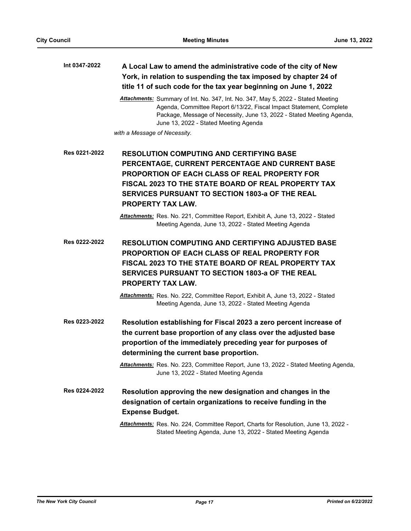| Int 0347-2022 | A Local Law to amend the administrative code of the city of New  |
|---------------|------------------------------------------------------------------|
|               | York, in relation to suspending the tax imposed by chapter 24 of |
|               | title 11 of such code for the tax year beginning on June 1, 2022 |

*Attachments:* Summary of Int. No. 347, Int. No. 347, May 5, 2022 - Stated Meeting Agenda, Committee Report 6/13/22, Fiscal Impact Statement, Complete Package, Message of Necessity, June 13, 2022 - Stated Meeting Agenda, June 13, 2022 - Stated Meeting Agenda

*with a Message of Necessity.*

**RESOLUTION COMPUTING AND CERTIFYING BASE PERCENTAGE, CURRENT PERCENTAGE AND CURRENT BASE PROPORTION OF EACH CLASS OF REAL PROPERTY FOR FISCAL 2023 TO THE STATE BOARD OF REAL PROPERTY TAX SERVICES PURSUANT TO SECTION 1803-a OF THE REAL PROPERTY TAX LAW. Res 0221-2022**

> *Attachments:* Res. No. 221, Committee Report, Exhibit A, June 13, 2022 - Stated Meeting Agenda, June 13, 2022 - Stated Meeting Agenda

**RESOLUTION COMPUTING AND CERTIFYING ADJUSTED BASE PROPORTION OF EACH CLASS OF REAL PROPERTY FOR FISCAL 2023 TO THE STATE BOARD OF REAL PROPERTY TAX SERVICES PURSUANT TO SECTION 1803-a OF THE REAL PROPERTY TAX LAW. Res 0222-2022**

> *Attachments:* Res. No. 222, Committee Report, Exhibit A, June 13, 2022 - Stated Meeting Agenda, June 13, 2022 - Stated Meeting Agenda

**Resolution establishing for Fiscal 2023 a zero percent increase of the current base proportion of any class over the adjusted base proportion of the immediately preceding year for purposes of determining the current base proportion. Res 0223-2022**

> *Attachments:* Res. No. 223, Committee Report, June 13, 2022 - Stated Meeting Agenda, June 13, 2022 - Stated Meeting Agenda

**Resolution approving the new designation and changes in the designation of certain organizations to receive funding in the Expense Budget. Res 0224-2022**

> *Attachments:* Res. No. 224, Committee Report, Charts for Resolution, June 13, 2022 - Stated Meeting Agenda, June 13, 2022 - Stated Meeting Agenda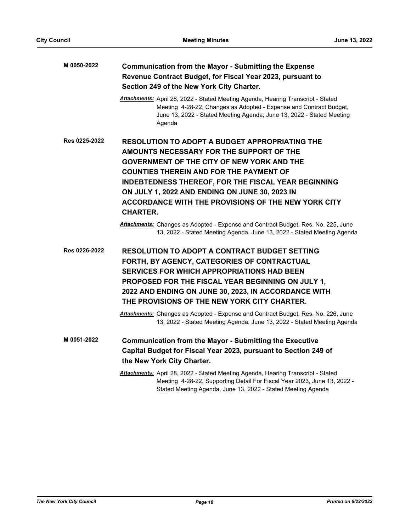| M 0050-2022   | <b>Communication from the Mayor - Submitting the Expense</b><br>Revenue Contract Budget, for Fiscal Year 2023, pursuant to<br>Section 249 of the New York City Charter.                                                                                                                                                                                                                                                                                                                                                                                            |
|---------------|--------------------------------------------------------------------------------------------------------------------------------------------------------------------------------------------------------------------------------------------------------------------------------------------------------------------------------------------------------------------------------------------------------------------------------------------------------------------------------------------------------------------------------------------------------------------|
|               | Attachments: April 28, 2022 - Stated Meeting Agenda, Hearing Transcript - Stated<br>Meeting 4-28-22, Changes as Adopted - Expense and Contract Budget,<br>June 13, 2022 - Stated Meeting Agenda, June 13, 2022 - Stated Meeting<br>Agenda                                                                                                                                                                                                                                                                                                                          |
| Res 0225-2022 | <b>RESOLUTION TO ADOPT A BUDGET APPROPRIATING THE</b><br>AMOUNTS NECESSARY FOR THE SUPPORT OF THE<br><b>GOVERNMENT OF THE CITY OF NEW YORK AND THE</b><br><b>COUNTIES THEREIN AND FOR THE PAYMENT OF</b><br><b>INDEBTEDNESS THEREOF, FOR THE FISCAL YEAR BEGINNING</b><br>ON JULY 1, 2022 AND ENDING ON JUNE 30, 2023 IN<br>ACCORDANCE WITH THE PROVISIONS OF THE NEW YORK CITY<br><b>CHARTER.</b><br>Attachments: Changes as Adopted - Expense and Contract Budget, Res. No. 225, June<br>13, 2022 - Stated Meeting Agenda, June 13, 2022 - Stated Meeting Agenda |
| Res 0226-2022 | RESOLUTION TO ADOPT A CONTRACT BUDGET SETTING<br>FORTH, BY AGENCY, CATEGORIES OF CONTRACTUAL<br><b>SERVICES FOR WHICH APPROPRIATIONS HAD BEEN</b><br><b>PROPOSED FOR THE FISCAL YEAR BEGINNING ON JULY 1,</b><br>2022 AND ENDING ON JUNE 30, 2023, IN ACCORDANCE WITH<br>THE PROVISIONS OF THE NEW YORK CITY CHARTER.<br>Attachments: Changes as Adopted - Expense and Contract Budget, Res. No. 226, June                                                                                                                                                         |
| M 0051-2022   | 13, 2022 - Stated Meeting Agenda, June 13, 2022 - Stated Meeting Agenda<br><b>Communication from the Mayor - Submitting the Executive</b><br>Capital Budget for Fiscal Year 2023, pursuant to Section 249 of<br>the New York City Charter.<br>Attachments: April 28, 2022 - Stated Meeting Agenda, Hearing Transcript - Stated                                                                                                                                                                                                                                     |
|               | Meeting 4-28-22, Supporting Detail For Fiscal Year 2023, June 13, 2022 -<br>Stated Meeting Agenda, June 13, 2022 - Stated Meeting Agenda                                                                                                                                                                                                                                                                                                                                                                                                                           |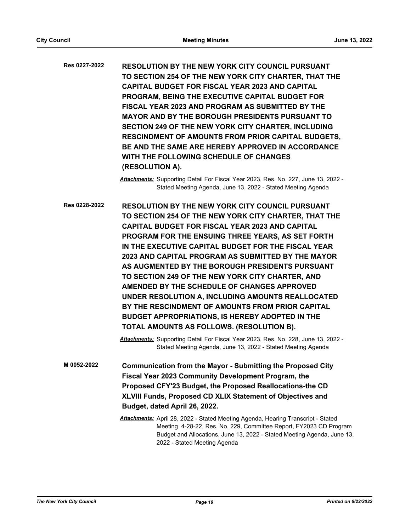**RESOLUTION BY THE NEW YORK CITY COUNCIL PURSUANT TO SECTION 254 OF THE NEW YORK CITY CHARTER, THAT THE CAPITAL BUDGET FOR FISCAL YEAR 2023 AND CAPITAL PROGRAM, BEING THE EXECUTIVE CAPITAL BUDGET FOR FISCAL YEAR 2023 AND PROGRAM AS SUBMITTED BY THE MAYOR AND BY THE BOROUGH PRESIDENTS PURSUANT TO SECTION 249 OF THE NEW YORK CITY CHARTER, INCLUDING RESCINDMENT OF AMOUNTS FROM PRIOR CAPITAL BUDGETS, BE AND THE SAME ARE HEREBY APPROVED IN ACCORDANCE WITH THE FOLLOWING SCHEDULE OF CHANGES (RESOLUTION A). Res 0227-2022**

> *Attachments:* Supporting Detail For Fiscal Year 2023, Res. No. 227, June 13, 2022 - Stated Meeting Agenda, June 13, 2022 - Stated Meeting Agenda

**RESOLUTION BY THE NEW YORK CITY COUNCIL PURSUANT TO SECTION 254 OF THE NEW YORK CITY CHARTER, THAT THE CAPITAL BUDGET FOR FISCAL YEAR 2023 AND CAPITAL PROGRAM FOR THE ENSUING THREE YEARS, AS SET FORTH IN THE EXECUTIVE CAPITAL BUDGET FOR THE FISCAL YEAR 2023 AND CAPITAL PROGRAM AS SUBMITTED BY THE MAYOR AS AUGMENTED BY THE BOROUGH PRESIDENTS PURSUANT TO SECTION 249 OF THE NEW YORK CITY CHARTER, AND AMENDED BY THE SCHEDULE OF CHANGES APPROVED UNDER RESOLUTION A, INCLUDING AMOUNTS REALLOCATED BY THE RESCINDMENT OF AMOUNTS FROM PRIOR CAPITAL BUDGET APPROPRIATIONS, IS HEREBY ADOPTED IN THE TOTAL AMOUNTS AS FOLLOWS. (RESOLUTION B). Res 0228-2022**

> *Attachments:* Supporting Detail For Fiscal Year 2023, Res. No. 228, June 13, 2022 - Stated Meeting Agenda, June 13, 2022 - Stated Meeting Agenda

- **Communication from the Mayor Submitting the Proposed City Fiscal Year 2023 Community Development Program, the Proposed CFY'23 Budget, the Proposed Reallocations-the CD XLVIII Funds, Proposed CD XLIX Statement of Objectives and Budget, dated April 26, 2022. M 0052-2022**
	- *Attachments:* April 28, 2022 Stated Meeting Agenda, Hearing Transcript Stated Meeting 4-28-22, Res. No. 229, Committee Report, FY2023 CD Program Budget and Allocations, June 13, 2022 - Stated Meeting Agenda, June 13, 2022 - Stated Meeting Agenda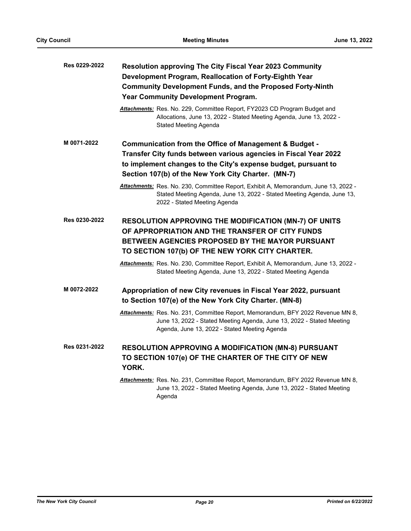| Res 0229-2022 | Resolution approving The City Fiscal Year 2023 Community                                                                                                                                                              |
|---------------|-----------------------------------------------------------------------------------------------------------------------------------------------------------------------------------------------------------------------|
|               | Development Program, Reallocation of Forty-Eighth Year                                                                                                                                                                |
|               | <b>Community Development Funds, and the Proposed Forty-Ninth</b>                                                                                                                                                      |
|               | Year Community Development Program.                                                                                                                                                                                   |
|               | Attachments: Res. No. 229, Committee Report, FY2023 CD Program Budget and<br>Allocations, June 13, 2022 - Stated Meeting Agenda, June 13, 2022 -<br>Stated Meeting Agenda                                             |
| M 0071-2022   | Communication from the Office of Management & Budget -                                                                                                                                                                |
|               | Transfer City funds between various agencies in Fiscal Year 2022                                                                                                                                                      |
|               | to implement changes to the City's expense budget, pursuant to                                                                                                                                                        |
|               | Section 107(b) of the New York City Charter. (MN-7)                                                                                                                                                                   |
|               | Attachments: Res. No. 230, Committee Report, Exhibit A, Memorandum, June 13, 2022 -<br>Stated Meeting Agenda, June 13, 2022 - Stated Meeting Agenda, June 13,<br>2022 - Stated Meeting Agenda                         |
| Res 0230-2022 | <b>RESOLUTION APPROVING THE MODIFICATION (MN-7) OF UNITS</b><br>OF APPROPRIATION AND THE TRANSFER OF CITY FUNDS<br>BETWEEN AGENCIES PROPOSED BY THE MAYOR PURSUANT<br>TO SECTION 107(b) OF THE NEW YORK CITY CHARTER. |
|               | <u> Attachments:</u> Res. No. 230, Committee Report, Exhibit A, Memorandum, June 13, 2022 -<br>Stated Meeting Agenda, June 13, 2022 - Stated Meeting Agenda                                                           |
| M 0072-2022   | Appropriation of new City revenues in Fiscal Year 2022, pursuant<br>to Section 107(e) of the New York City Charter. (MN-8)                                                                                            |
|               | Attachments: Res. No. 231, Committee Report, Memorandum, BFY 2022 Revenue MN 8,<br>June 13, 2022 - Stated Meeting Agenda, June 13, 2022 - Stated Meeting<br>Agenda, June 13, 2022 - Stated Meeting Agenda             |
| Res 0231-2022 | <b>RESOLUTION APPROVING A MODIFICATION (MN-8) PURSUANT</b><br>TO SECTION 107(e) OF THE CHARTER OF THE CITY OF NEW<br>YORK.                                                                                            |
|               | Attachments: Res. No. 231, Committee Report, Memorandum, BFY 2022 Revenue MN 8,<br>June 13, 2022 - Stated Meeting Agenda, June 13, 2022 - Stated Meeting<br>Agenda                                                    |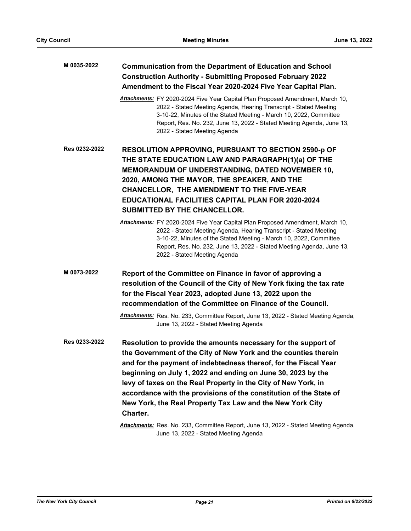### **Communication from the Department of Education and School Construction Authority - Submitting Proposed February 2022 Amendment to the Fiscal Year 2020-2024 Five Year Capital Plan. M 0035-2022**

*Attachments:* FY 2020-2024 Five Year Capital Plan Proposed Amendment, March 10, 2022 - Stated Meeting Agenda, Hearing Transcript - Stated Meeting 3-10-22, Minutes of the Stated Meeting - March 10, 2022, Committee Report, Res. No. 232, June 13, 2022 - Stated Meeting Agenda, June 13, 2022 - Stated Meeting Agenda

**RESOLUTION APPROVING, PURSUANT TO SECTION 2590-p OF THE STATE EDUCATION LAW AND PARAGRAPH(1)(a) OF THE MEMORANDUM OF UNDERSTANDING, DATED NOVEMBER 10, 2020, AMONG THE MAYOR, THE SPEAKER, AND THE CHANCELLOR, THE AMENDMENT TO THE FIVE-YEAR EDUCATIONAL FACILITIES CAPITAL PLAN FOR 2020-2024 SUBMITTED BY THE CHANCELLOR. Res 0232-2022**

**Report of the Committee on Finance in favor of approving a resolution of the Council of the City of New York fixing the tax rate for the Fiscal Year 2023, adopted June 13, 2022 upon the recommendation of the Committee on Finance of the Council. M 0073-2022**

> *Attachments:* Res. No. 233, Committee Report, June 13, 2022 - Stated Meeting Agenda, June 13, 2022 - Stated Meeting Agenda

**Resolution to provide the amounts necessary for the support of the Government of the City of New York and the counties therein and for the payment of indebtedness thereof, for the Fiscal Year beginning on July 1, 2022 and ending on June 30, 2023 by the levy of taxes on the Real Property in the City of New York, in accordance with the provisions of the constitution of the State of New York, the Real Property Tax Law and the New York City Charter. Res 0233-2022**

> *Attachments:* Res. No. 233, Committee Report, June 13, 2022 - Stated Meeting Agenda, June 13, 2022 - Stated Meeting Agenda

*Attachments:* FY 2020-2024 Five Year Capital Plan Proposed Amendment, March 10, 2022 - Stated Meeting Agenda, Hearing Transcript - Stated Meeting 3-10-22, Minutes of the Stated Meeting - March 10, 2022, Committee Report, Res. No. 232, June 13, 2022 - Stated Meeting Agenda, June 13, 2022 - Stated Meeting Agenda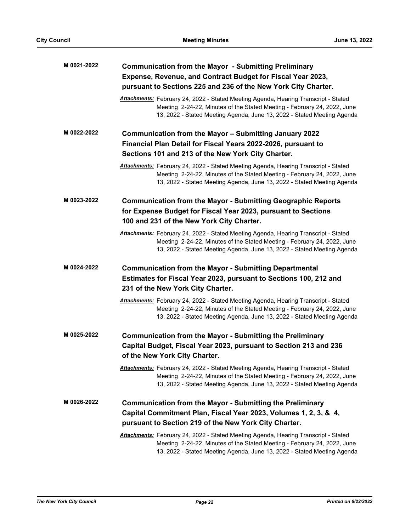| M 0021-2022 | <b>Communication from the Mayor - Submitting Preliminary</b>                                                                                                                                                                                      |
|-------------|---------------------------------------------------------------------------------------------------------------------------------------------------------------------------------------------------------------------------------------------------|
|             | Expense, Revenue, and Contract Budget for Fiscal Year 2023,                                                                                                                                                                                       |
|             | pursuant to Sections 225 and 236 of the New York City Charter.                                                                                                                                                                                    |
|             | Attachments: February 24, 2022 - Stated Meeting Agenda, Hearing Transcript - Stated<br>Meeting 2-24-22, Minutes of the Stated Meeting - February 24, 2022, June<br>13, 2022 - Stated Meeting Agenda, June 13, 2022 - Stated Meeting Agenda        |
| M 0022-2022 | Communication from the Mayor - Submitting January 2022                                                                                                                                                                                            |
|             | Financial Plan Detail for Fiscal Years 2022-2026, pursuant to                                                                                                                                                                                     |
|             | Sections 101 and 213 of the New York City Charter.                                                                                                                                                                                                |
|             | Attachments: February 24, 2022 - Stated Meeting Agenda, Hearing Transcript - Stated<br>Meeting 2-24-22, Minutes of the Stated Meeting - February 24, 2022, June<br>13, 2022 - Stated Meeting Agenda, June 13, 2022 - Stated Meeting Agenda        |
| M 0023-2022 | <b>Communication from the Mayor - Submitting Geographic Reports</b><br>for Expense Budget for Fiscal Year 2023, pursuant to Sections<br>100 and 231 of the New York City Charter.                                                                 |
|             | Attachments: February 24, 2022 - Stated Meeting Agenda, Hearing Transcript - Stated<br>Meeting 2-24-22, Minutes of the Stated Meeting - February 24, 2022, June<br>13, 2022 - Stated Meeting Agenda, June 13, 2022 - Stated Meeting Agenda        |
| M 0024-2022 | <b>Communication from the Mayor - Submitting Departmental</b>                                                                                                                                                                                     |
|             | Estimates for Fiscal Year 2023, pursuant to Sections 100, 212 and                                                                                                                                                                                 |
|             | 231 of the New York City Charter.                                                                                                                                                                                                                 |
|             | <b>Attachments:</b> February 24, 2022 - Stated Meeting Agenda, Hearing Transcript - Stated<br>Meeting 2-24-22, Minutes of the Stated Meeting - February 24, 2022, June<br>13, 2022 - Stated Meeting Agenda, June 13, 2022 - Stated Meeting Agenda |
| M 0025-2022 | <b>Communication from the Mayor - Submitting the Preliminary</b>                                                                                                                                                                                  |
|             | Capital Budget, Fiscal Year 2023, pursuant to Section 213 and 236                                                                                                                                                                                 |
|             | of the New York City Charter.                                                                                                                                                                                                                     |
|             | Attachments: February 24, 2022 - Stated Meeting Agenda, Hearing Transcript - Stated<br>Meeting 2-24-22, Minutes of the Stated Meeting - February 24, 2022, June<br>13, 2022 - Stated Meeting Agenda, June 13, 2022 - Stated Meeting Agenda        |
| M 0026-2022 | <b>Communication from the Mayor - Submitting the Preliminary</b>                                                                                                                                                                                  |
|             | Capital Commitment Plan, Fiscal Year 2023, Volumes 1, 2, 3, & 4,                                                                                                                                                                                  |
|             | pursuant to Section 219 of the New York City Charter.                                                                                                                                                                                             |
|             | <b>Attachments:</b> February 24, 2022 - Stated Meeting Agenda, Hearing Transcript - Stated<br>Meeting 2-24-22, Minutes of the Stated Meeting - February 24, 2022, June<br>13, 2022 - Stated Meeting Agenda, June 13, 2022 - Stated Meeting Agenda |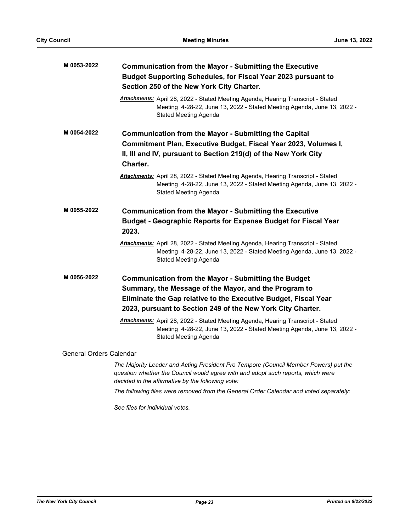| M 0053-2022             | <b>Communication from the Mayor - Submitting the Executive</b><br>Budget Supporting Schedules, for Fiscal Year 2023 pursuant to<br>Section 250 of the New York City Charter.                                                                           |
|-------------------------|--------------------------------------------------------------------------------------------------------------------------------------------------------------------------------------------------------------------------------------------------------|
|                         | Attachments: April 28, 2022 - Stated Meeting Agenda, Hearing Transcript - Stated<br>Meeting 4-28-22, June 13, 2022 - Stated Meeting Agenda, June 13, 2022 -<br><b>Stated Meeting Agenda</b>                                                            |
| M 0054-2022             | <b>Communication from the Mayor - Submitting the Capital</b><br>Commitment Plan, Executive Budget, Fiscal Year 2023, Volumes I,<br>II, III and IV, pursuant to Section 219(d) of the New York City<br>Charter.                                         |
|                         | Attachments: April 28, 2022 - Stated Meeting Agenda, Hearing Transcript - Stated<br>Meeting 4-28-22, June 13, 2022 - Stated Meeting Agenda, June 13, 2022 -<br>Stated Meeting Agenda                                                                   |
| M 0055-2022             | <b>Communication from the Mayor - Submitting the Executive</b><br>Budget - Geographic Reports for Expense Budget for Fiscal Year                                                                                                                       |
|                         | 2023.<br>Attachments: April 28, 2022 - Stated Meeting Agenda, Hearing Transcript - Stated<br>Meeting 4-28-22, June 13, 2022 - Stated Meeting Agenda, June 13, 2022 -<br>Stated Meeting Agenda                                                          |
| M 0056-2022             | <b>Communication from the Mayor - Submitting the Budget</b><br>Summary, the Message of the Mayor, and the Program to<br>Eliminate the Gap relative to the Executive Budget, Fiscal Year<br>2023, pursuant to Section 249 of the New York City Charter. |
|                         | Attachments: April 28, 2022 - Stated Meeting Agenda, Hearing Transcript - Stated<br>Meeting 4-28-22, June 13, 2022 - Stated Meeting Agenda, June 13, 2022 -<br>Stated Meeting Agenda                                                                   |
| General Orders Calendar |                                                                                                                                                                                                                                                        |
|                         | The Majority Leader and Acting President Pro Tempore (Council Member Powers) put the<br>question whether the Council would agree with and adopt such reports, which were<br>decided in the affirmative by the following vote:                          |
|                         | The following files were removed from the General Order Calendar and voted separately:                                                                                                                                                                 |

*See files for individual votes.*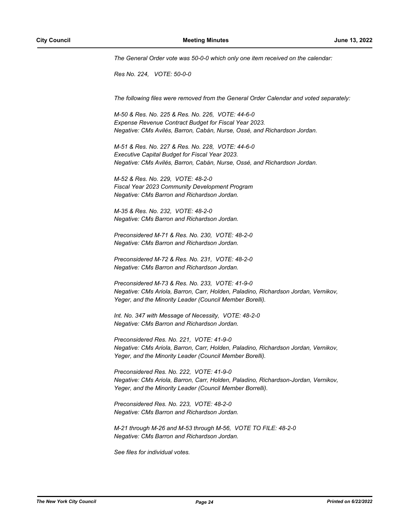*The General Order vote was 50-0-0 which only one item received on the calendar:*

*Res No. 224, VOTE: 50-0-0*

*The following files were removed from the General Order Calendar and voted separately:*

*M-50 & Res. No. 225 & Res. No. 226, VOTE: 44-6-0 Expense Revenue Contract Budget for Fiscal Year 2023. Negative: CMs Avilés, Barron, Cabán, Nurse, Ossé, and Richardson Jordan.*

*M-51 & Res. No. 227 & Res. No. 228, VOTE: 44-6-0 Executive Capital Budget for Fiscal Year 2023. Negative: CMs Avilés, Barron, Cabán, Nurse, Ossé, and Richardson Jordan.*

*M-52 & Res. No. 229, VOTE: 48-2-0 Fiscal Year 2023 Community Development Program Negative: CMs Barron and Richardson Jordan.*

*M-35 & Res. No. 232, VOTE: 48-2-0 Negative: CMs Barron and Richardson Jordan.*

*Preconsidered M-71 & Res. No. 230, VOTE: 48-2-0 Negative: CMs Barron and Richardson Jordan.*

*Preconsidered M-72 & Res. No. 231, VOTE: 48-2-0 Negative: CMs Barron and Richardson Jordan.*

*Preconsidered M-73 & Res. No. 233, VOTE: 41-9-0 Negative: CMs Ariola, Barron, Carr, Holden, Paladino, Richardson Jordan, Vernikov, Yeger, and the Minority Leader (Council Member Borelli).*

*Int. No. 347 with Message of Necessity, VOTE: 48-2-0 Negative: CMs Barron and Richardson Jordan.*

*Preconsidered Res. No. 221, VOTE: 41-9-0 Negative: CMs Ariola, Barron, Carr, Holden, Paladino, Richardson Jordan, Vernikov, Yeger, and the Minority Leader (Council Member Borelli).*

*Preconsidered Res. No. 222, VOTE: 41-9-0 Negative: CMs Ariola, Barron, Carr, Holden, Paladino, Richardson-Jordan, Vernikov, Yeger, and the Minority Leader (Council Member Borrelli).*

*Preconsidered Res. No. 223, VOTE: 48-2-0 Negative: CMs Barron and Richardson Jordan.*

*M-21 through M-26 and M-53 through M-56, VOTE TO FILE: 48-2-0 Negative: CMs Barron and Richardson Jordan.*

*See files for individual votes.*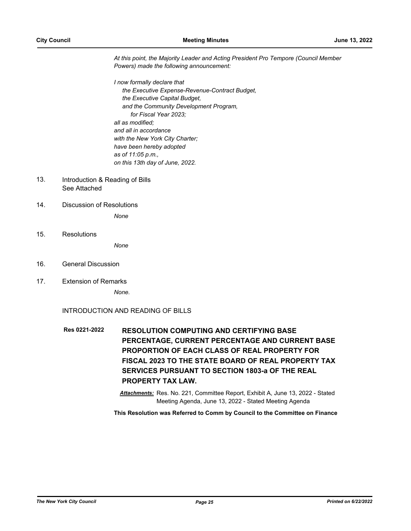*At this point, the Majority Leader and Acting President Pro Tempore (Council Member Powers) made the following announcement:*

*I now formally declare that the Executive Expense-Revenue-Contract Budget, the Executive Capital Budget, and the Community Development Program, for Fiscal Year 2023; all as modified; and all in accordance with the New York City Charter; have been hereby adopted as of 11:05 p.m., on this 13th day of June, 2022.*

- Introduction & Reading of Bills See Attached 13.
- 14. Discussion of Resolutions

*None*

15. Resolutions

*None*

- 16. General Discussion
- 17. Extension of Remarks

*None.*

INTRODUCTION AND READING OF BILLS

**RESOLUTION COMPUTING AND CERTIFYING BASE PERCENTAGE, CURRENT PERCENTAGE AND CURRENT BASE PROPORTION OF EACH CLASS OF REAL PROPERTY FOR FISCAL 2023 TO THE STATE BOARD OF REAL PROPERTY TAX SERVICES PURSUANT TO SECTION 1803-a OF THE REAL PROPERTY TAX LAW. Res 0221-2022**

> *Attachments:* Res. No. 221, Committee Report, Exhibit A, June 13, 2022 - Stated Meeting Agenda, June 13, 2022 - Stated Meeting Agenda

**This Resolution was Referred to Comm by Council to the Committee on Finance**